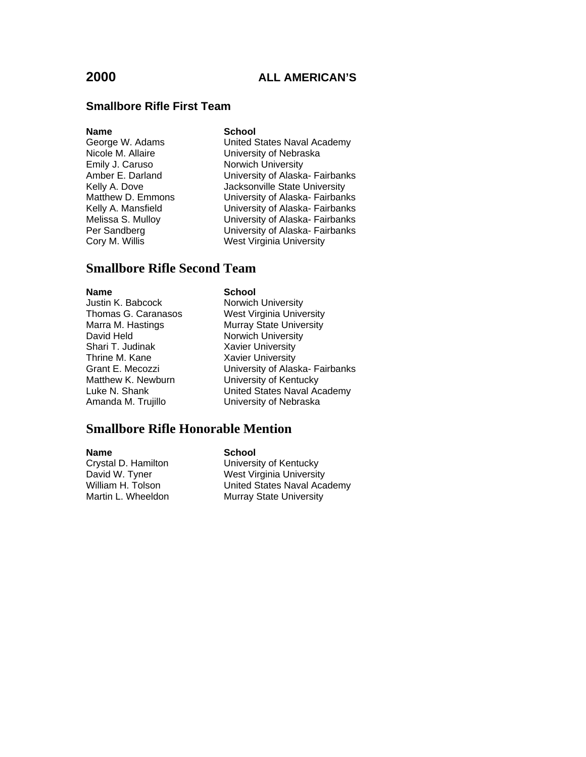#### **Smallbore Rifle First Team**

**Name School**<br> **George W. Adams Chame** United S Emily J. Caruso **Norwich University**<br>Amber E. Darland **Norwich University of Alaska** 

United States Naval Academy Nicole M. Allaire **University of Nebraska** University of Alaska- Fairbanks Kelly A. Dove **Jacksonville State University** Matthew D. Emmons University of Alaska- Fairbanks Kelly A. Mansfield University of Alaska- Fairbanks Melissa S. Mulloy University of Alaska- Fairbanks Per Sandberg **University of Alaska- Fairbanks** Cory M. Willis West Virginia University

### **Smallbore Rifle Second Team**

#### **Name** School **School**

Justin K. Babcock Norwich University David Held Norwich University Shari T. Judinak **Xavier University**<br>
Thrine M. Kane **Xavier University** Thrine M. Kane New Yavier University<br>1997 - Grant E. Mecozzi Matthew K. Newburn **University of Kentucky** 

Thomas G. Caranasos West Virginia University<br>
Marra M. Hastings Murray State University Murray State University University of Alaska- Fairbanks Luke N. Shank United States Naval Academy Amanda M. Trujillo University of Nebraska

### **Smallbore Rifle Honorable Mention**

**Name**<br>Crystal D. Hamilton **School** 

Crystal D. Hamilton **Call University of Kentucky**<br>
David W. Tyner **Nest Virginia University** West Virginia University William H. Tolson United States Naval Academy Murray State University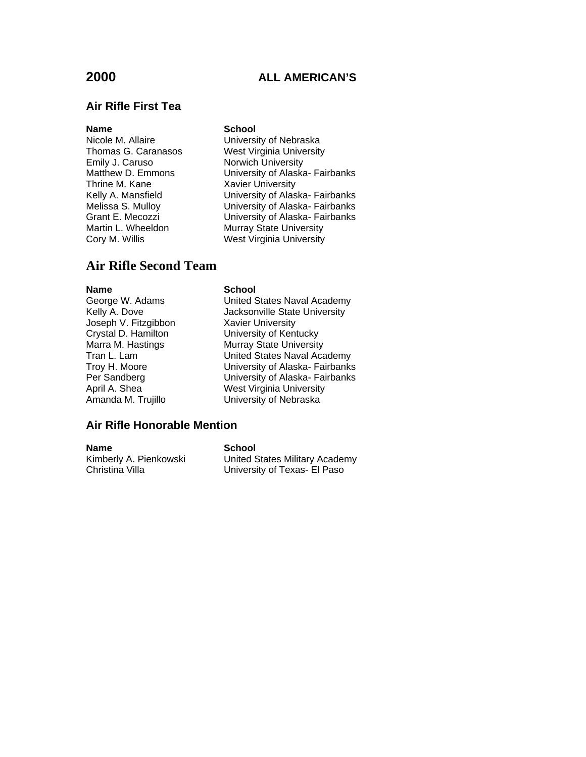# **Air Rifle First Tea**

#### **Name** School

Emily J. Caruso **Norwich University**<br>Matthew D. Emmons **Nutlem University of Alaska** Thrine M. Kane **Xavier University**<br>
Kelly A. Mansfield **Contains University of Alas** 

Nicole M. Allaire **University of Nebraska** Thomas G. Caranasos West Virginia University University of Alaska- Fairbanks Kelly A. Mansfield **Warehou University of Alaska- Fairbanks**<br>Melissa S. Mulloy **National University of Alaska- Fairbanks** University of Alaska- Fairbanks Grant E. Mecozzi **E. S. E. S. E. S. E. S. E. S. E. S. E.** University of Alaska- Fairbanks<br>Martin L. Wheeldon **Murray State University** Murray State University Cory M. Willis West Virginia University

### **Air Rifle Second Team**

#### **Name** School

Joseph V. Fitzgibbon Xavier University

George W. Adams United States Naval Academy Kelly A. Dove **Galler** Jacksonville State University Crystal D. Hamilton University of Kentucky Marra M. Hastings **Murray State University** Tran L. Lam United States Naval Academy Troy H. Moore University of Alaska- Fairbanks Per Sandberg **Disk Communist University of Alaska- Fairbanks**<br>
April A. Shea **Next Virginia University** April A. Shea<br>Amanda M. Trujillo **New Your West Virginia University** University of Nebraska

#### **Air Rifle Honorable Mention**

**Name School**<br>Kimberly A. Pienkowski **School** Christina Villa **Villa** University of Texas- El Paso

United States Military Academy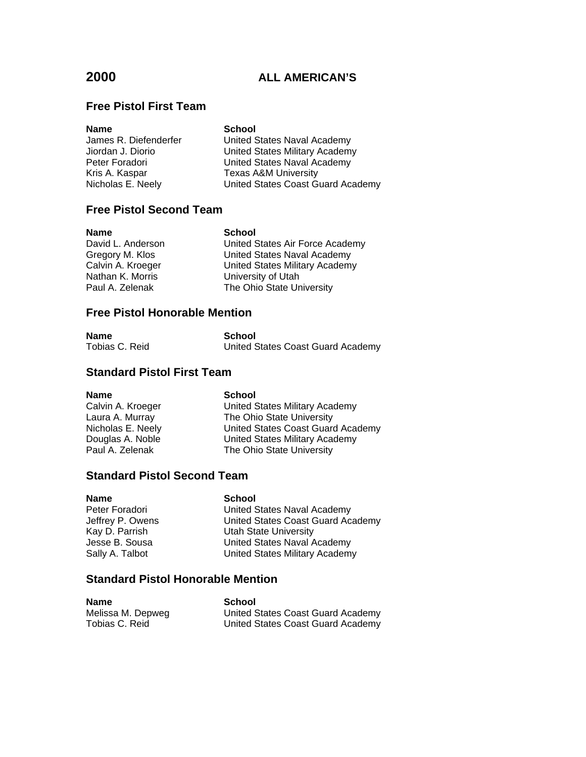### **Free Pistol First Team**

| <b>School</b>                     |
|-----------------------------------|
| United States Naval Academy       |
| United States Military Academy    |
| United States Naval Academy       |
| <b>Texas A&amp;M University</b>   |
| United States Coast Guard Academy |
|                                   |

### **Free Pistol Second Team**

| <b>Name</b>       | <b>School</b>                         |
|-------------------|---------------------------------------|
| David L. Anderson | United States Air Force Academy       |
| Gregory M. Klos   | United States Naval Academy           |
| Calvin A. Kroeger | <b>United States Military Academy</b> |
| Nathan K. Morris  | University of Utah                    |
| Paul A. Zelenak   | The Ohio State University             |
|                   |                                       |

### **Free Pistol Honorable Mention**

| Name           | School                            |
|----------------|-----------------------------------|
| Tobias C. Reid | United States Coast Guard Academy |

#### **Standard Pistol First Team**

**Name** School<br>Calvin A. Kroeger **School** 

Calvin A. Kroeger **Calving Academy** Laura A. Murray The Ohio State University Exand A. Marriay<br>
Nicholas E. Neely United States Coast Guard Academy<br>
Douglas A. Noble United States Military Academy<br>
Paul A. Zelenak The Ohio State University Douglas A. Noble<br>
Douglas A. Noble<br>
United States Military Academy<br>
The Ohio State University The Ohio State University

#### **Standard Pistol Second Team**

| <b>Name</b>      | School                            |
|------------------|-----------------------------------|
| Peter Foradori   | United States Naval Academy       |
| Jeffrey P. Owens | United States Coast Guard Academy |
| Kay D. Parrish   | Utah State University             |
| Jesse B. Sousa   | United States Naval Academy       |
| Sally A. Talbot  | United States Military Academy    |

### **Standard Pistol Honorable Mention**

| <b>Name</b>       | School                            |
|-------------------|-----------------------------------|
| Melissa M. Depweg | United States Coast Guard Academy |
| Tobias C. Reid    | United States Coast Guard Academy |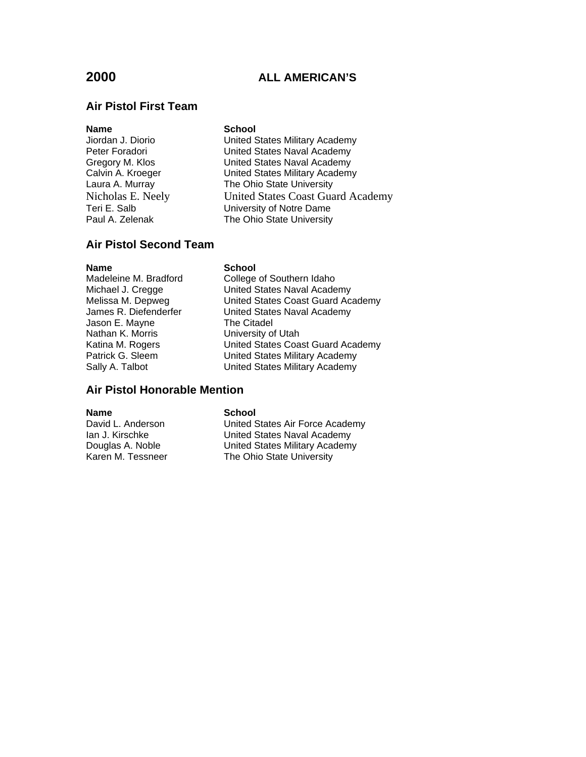### **Air Pistol First Team**

#### **Name** School

Jiordan J. Diorio United States Military Academy Peter Foradori **National States Naval Academy** Gregory M. Klos **Christian Control United States Naval Academy**<br>Calvin A. Kroeger Calvin United States Military Academy United States Military Academy Laura A. Murray The Ohio State University<br>Nicholas E. Neelv United States Coast Gua Nicholas E. Neely<br>
United States Coast Guard Academy<br>
University of Notre Dame University of Notre Dame Paul A. Zelenak The Ohio State University

### **Air Pistol Second Team**

**Name** School

Jason E. Mayne The Citadel Nathan K. Morris **University of Utah** 

Madeleine M. Bradford College of Southern Idaho Michael J. Cregge United States Naval Academy Melissa M. Depweg United States Coast Guard Academy James R. Diefenderfer **United States Naval Academy** Katina M. Rogers United States Coast Guard Academy Patrick G. Sleem United States Military Academy Sally A. Talbot **Example 3** United States Military Academy

#### **Air Pistol Honorable Mention**

**Name** School<br>David L. Anderson **School** 

United States Air Force Academy Ian J. Kirschke United States Naval Academy Douglas A. Noble United States Military Academy Karen M. Tessneer The Ohio State University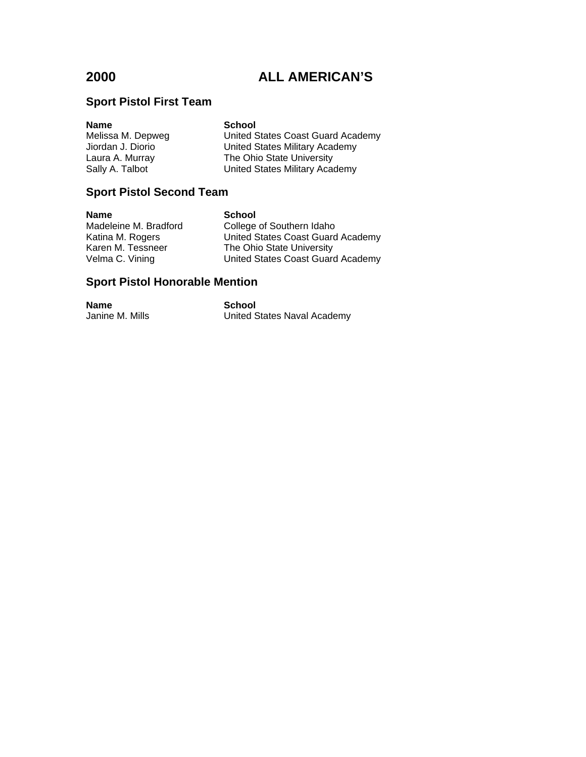# **Sport Pistol First Team**

| Name              | <b>School</b>                     |
|-------------------|-----------------------------------|
| Melissa M. Depweg | United States Coast Guard Academy |
| Jiordan J. Diorio | United States Military Academy    |
| Laura A. Murray   | The Ohio State University         |
| Sally A. Talbot   | United States Military Academy    |
|                   |                                   |

# **Sport Pistol Second Team**

| <b>Name</b>           | <b>School</b>                     |
|-----------------------|-----------------------------------|
| Madeleine M. Bradford | College of Southern Idaho         |
| Katina M. Rogers      | United States Coast Guard Academy |
| Karen M. Tessneer     | The Ohio State University         |
| Velma C. Vining       | United States Coast Guard Academy |

# **Sport Pistol Honorable Mention**

| <b>Name</b>     | School                      |
|-----------------|-----------------------------|
| Janine M. Mills | United States Naval Academy |